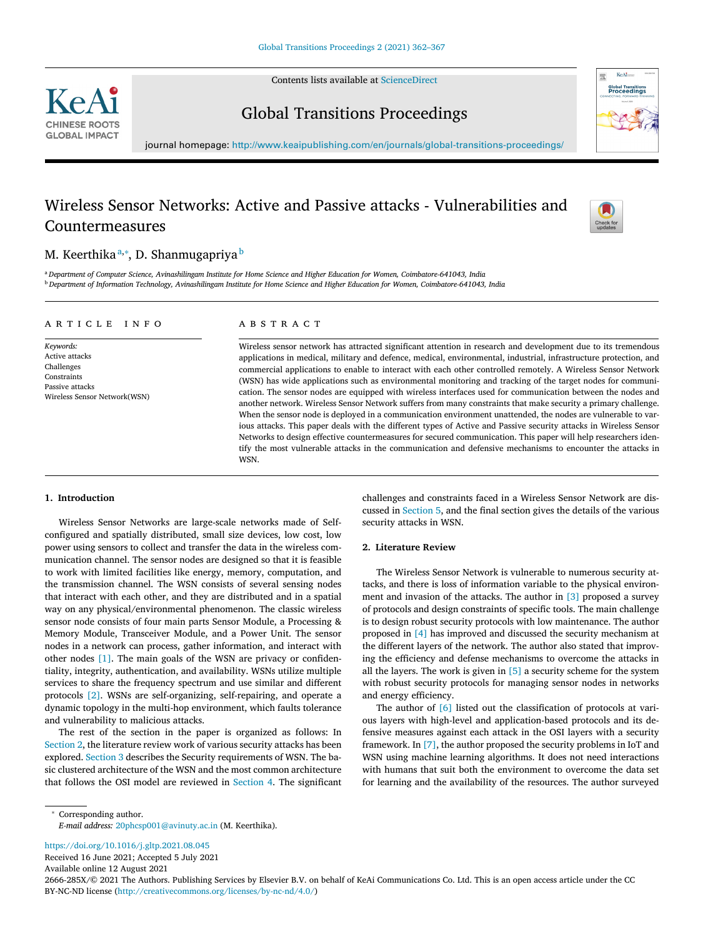Contents lists available at [ScienceDirect](http://www.ScienceDirect.com)



Global Transitions Proceedings



journal homepage: <http://www.keaipublishing.com/en/journals/global-transitions-proceedings/>

# Wireless Sensor Networks: Active and Passive attacks - Vulnerabilities and Countermeasures



# M. Keerthikaª,\*, D. Shanmugapriya <sup>b</sup>

a Department of Computer Science, Avinashilingam Institute for Home Science and Higher Education for Women, Coimbatore-641043, India <sup>b</sup> Department of Information Technology, Avinashilingam Institute for Home Science and Higher Education for Women, Coimbatore-641043, India

## a r t i c l e i n f o

*Keywords:* Active attacks **Challenges** Constraints Passive attacks Wireless Sensor Network(WSN)

# a b s t r a c t

Wireless sensor network has attracted significant attention in research and development due to its tremendous applications in medical, military and defence, medical, environmental, industrial, infrastructure protection, and commercial applications to enable to interact with each other controlled remotely. A Wireless Sensor Network (WSN) has wide applications such as environmental monitoring and tracking of the target nodes for communication. The sensor nodes are equipped with wireless interfaces used for communication between the nodes and another network. Wireless Sensor Network suffers from many constraints that make security a primary challenge. When the sensor node is deployed in a communication environment unattended, the nodes are vulnerable to various attacks. This paper deals with the different types of Active and Passive security attacks in Wireless Sensor Networks to design effective countermeasures for secured communication. This paper will help researchers identify the most vulnerable attacks in the communication and defensive mechanisms to encounter the attacks in WSN.

## **1. Introduction**

Wireless Sensor Networks are large-scale networks made of Selfconfigured and spatially distributed, small size devices, low cost, low power using sensors to collect and transfer the data in the wireless communication channel. The sensor nodes are designed so that it is feasible to work with limited facilities like energy, memory, computation, and the transmission channel. The WSN consists of several sensing nodes that interact with each other, and they are distributed and in a spatial way on any physical/environmental phenomenon. The classic wireless sensor node consists of four main parts Sensor Module, a Processing & Memory Module, Transceiver Module, and a Power Unit. The sensor nodes in a network can process, gather information, and interact with other nodes [\[1\].](#page-5-0) The main goals of the WSN are privacy or confidentiality, integrity, authentication, and availability. WSNs utilize multiple services to share the frequency spectrum and use similar and different protocols [\[2\].](#page-5-0) WSNs are self-organizing, self-repairing, and operate a dynamic topology in the multi-hop environment, which faults tolerance and vulnerability to malicious attacks.

The rest of the section in the paper is organized as follows: In Section 2, the literature review work of various security attacks has been explored. [Section](#page-1-0) 3 describes the Security requirements of WSN. The basic clustered architecture of the WSN and the most common architecture that follows the OSI model are reviewed in [Section](#page-1-0) 4. The significant

challenges and constraints faced in a Wireless Sensor Network are discussed in [Section](#page-1-0) 5, and the final section gives the details of the various security attacks in WSN.

### **2. Literature Review**

The Wireless Sensor Network is vulnerable to numerous security attacks, and there is loss of information variable to the physical environment and invasion of the attacks. The author in [\[3\]](#page-5-0) proposed a survey of protocols and design constraints of specific tools. The main challenge is to design robust security protocols with low maintenance. The author proposed in [\[4\]](#page-5-0) has improved and discussed the security mechanism at the different layers of the network. The author also stated that improving the efficiency and defense mechanisms to overcome the attacks in all the layers. The work is given in  $[5]$  a security scheme for the system with robust security protocols for managing sensor nodes in networks and energy efficiency.

The author of [\[6\]](#page-5-0) listed out the classification of protocols at various layers with high-level and application-based protocols and its defensive measures against each attack in the OSI layers with a security framework. In [\[7\],](#page-5-0) the author proposed the security problems in IoT and WSN using machine learning algorithms. It does not need interactions with humans that suit both the environment to overcome the data set for learning and the availability of the resources. The author surveyed

<sup>∗</sup> Corresponding author.

<https://doi.org/10.1016/j.gltp.2021.08.045>

Received 16 June 2021; Accepted 5 July 2021

Available online 12 August 2021

2666-285X/© 2021 The Authors. Publishing Services by Elsevier B.V. on behalf of KeAi Communications Co. Ltd. This is an open access article under the CC BY-NC-ND license [\(http://creativecommons.org/licenses/by-nc-nd/4.0/\)](http://creativecommons.org/licenses/by-nc-nd/4.0/)

*E-mail address:* [20phcsp001@avinuty.ac.in](mailto:20phcsp001@avinuty.ac.in) (M. Keerthika).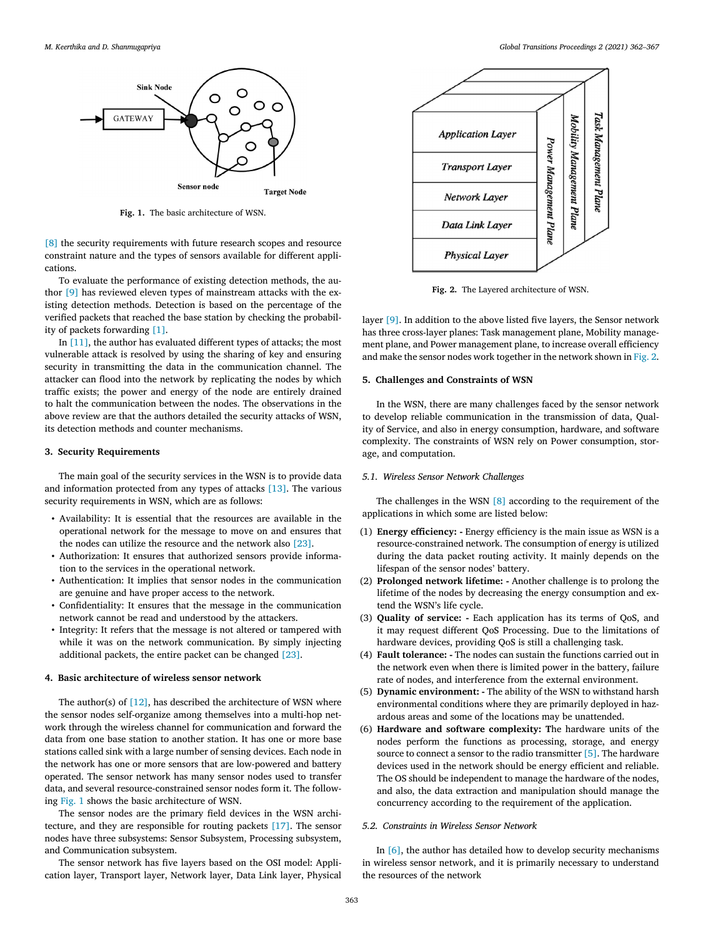<span id="page-1-0"></span>

**Fig. 1.** The basic architecture of WSN.

[\[8\]](#page-5-0) the security requirements with future research scopes and resource constraint nature and the types of sensors available for different applications.

To evaluate the performance of existing detection methods, the author [\[9\]](#page-5-0) has reviewed eleven types of mainstream attacks with the existing detection methods. Detection is based on the percentage of the verified packets that reached the base station by checking the probability of packets forwarding [\[1\].](#page-5-0)

In [\[11\],](#page-5-0) the author has evaluated different types of attacks; the most vulnerable attack is resolved by using the sharing of key and ensuring security in transmitting the data in the communication channel. The attacker can flood into the network by replicating the nodes by which traffic exists; the power and energy of the node are entirely drained to halt the communication between the nodes. The observations in the above review are that the authors detailed the security attacks of WSN, its detection methods and counter mechanisms.

#### **3. Security Requirements**

The main goal of the security services in the WSN is to provide data and information protected from any types of attacks [\[13\].](#page-5-0) The various security requirements in WSN, which are as follows:

- Availability: It is essential that the resources are available in the operational network for the message to move on and ensures that the nodes can utilize the resource and the network also [\[23\].](#page-5-0)
- Authorization: It ensures that authorized sensors provide information to the services in the operational network.
- Authentication: It implies that sensor nodes in the communication are genuine and have proper access to the network.
- Confidentiality: It ensures that the message in the communication network cannot be read and understood by the attackers.
- Integrity: It refers that the message is not altered or tampered with while it was on the network communication. By simply injecting additional packets, the entire packet can be changed [\[23\].](#page-5-0)

#### **4. Basic architecture of wireless sensor network**

The author(s) of  $[12]$ , has described the architecture of WSN where the sensor nodes self-organize among themselves into a multi-hop network through the wireless channel for communication and forward the data from one base station to another station. It has one or more base stations called sink with a large number of sensing devices. Each node in the network has one or more sensors that are low-powered and battery operated. The sensor network has many sensor nodes used to transfer data, and several resource-constrained sensor nodes form it. The following Fig. 1 shows the basic architecture of WSN.

The sensor nodes are the primary field devices in the WSN architecture, and they are responsible for routing packets [\[17\].](#page-5-0) The sensor nodes have three subsystems: Sensor Subsystem, Processing subsystem, and Communication subsystem.

The sensor network has five layers based on the OSI model: Application layer, Transport layer, Network layer, Data Link layer, Physical



**Fig. 2.** The Layered architecture of WSN.

layer [\[9\].](#page-5-0) In addition to the above listed five layers, the Sensor network has three cross-layer planes: Task management plane, Mobility management plane, and Power management plane, to increase overall efficiency and make the sensor nodes work together in the network shown in Fig. 2.

#### **5. Challenges and Constraints of WSN**

In the WSN, there are many challenges faced by the sensor network to develop reliable communication in the transmission of data, Quality of Service, and also in energy consumption, hardware, and software complexity. The constraints of WSN rely on Power consumption, storage, and computation.

# *5.1. Wireless Sensor Network Challenges*

The challenges in the WSN [\[8\]](#page-5-0) according to the requirement of the applications in which some are listed below:

- (1) **Energy efficiency: -** Energy efficiency is the main issue as WSN is a resource-constrained network. The consumption of energy is utilized during the data packet routing activity. It mainly depends on the lifespan of the sensor nodes' battery.
- (2) **Prolonged network lifetime: -** Another challenge is to prolong the lifetime of the nodes by decreasing the energy consumption and extend the WSN's life cycle.
- (3) **Quality of service: -** Each application has its terms of QoS, and it may request different QoS Processing. Due to the limitations of hardware devices, providing QoS is still a challenging task.
- (4) **Fault tolerance: -** The nodes can sustain the functions carried out in the network even when there is limited power in the battery, failure rate of nodes, and interference from the external environment.
- (5) **Dynamic environment: -** The ability of the WSN to withstand harsh environmental conditions where they are primarily deployed in hazardous areas and some of the locations may be unattended.
- (6) **Hardware and software complexity: T**he hardware units of the nodes perform the functions as processing, storage, and energy source to connect a sensor to the radio transmitter [\[5\].](#page-5-0) The hardware devices used in the network should be energy efficient and reliable. The OS should be independent to manage the hardware of the nodes, and also, the data extraction and manipulation should manage the concurrency according to the requirement of the application.

# *5.2. Constraints in Wireless Sensor Network*

In [\[6\],](#page-5-0) the author has detailed how to develop security mechanisms in wireless sensor network, and it is primarily necessary to understand the resources of the network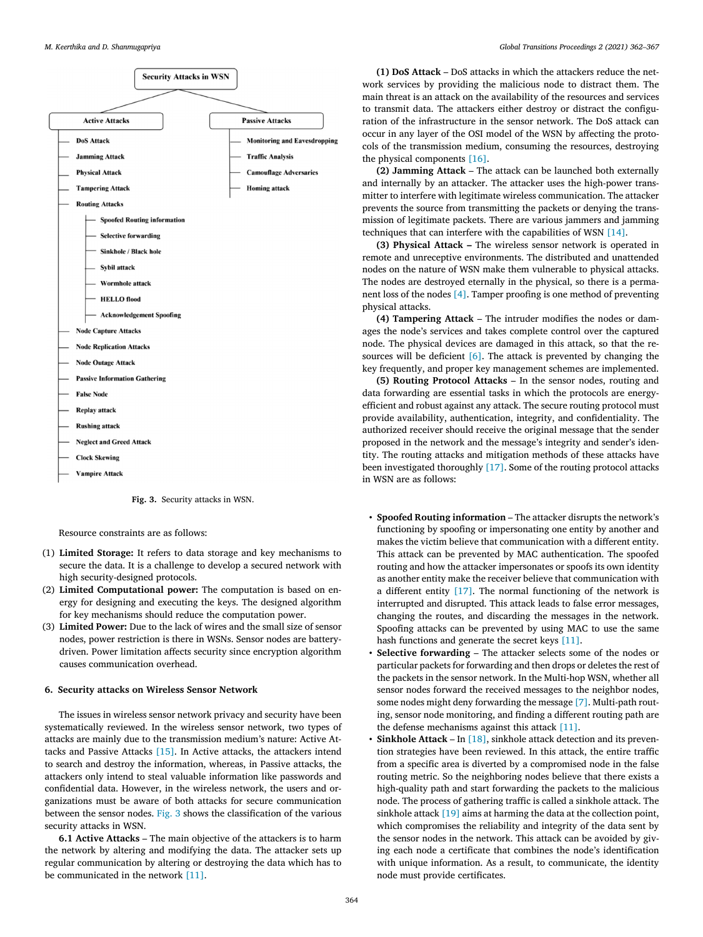

**Fig. 3.** Security attacks in WSN.

Resource constraints are as follows:

- (1) **Limited Storage:** It refers to data storage and key mechanisms to secure the data. It is a challenge to develop a secured network with high security-designed protocols.
- (2) **Limited Computational power:** The computation is based on energy for designing and executing the keys. The designed algorithm for key mechanisms should reduce the computation power.
- (3) **Limited Power:** Due to the lack of wires and the small size of sensor nodes, power restriction is there in WSNs. Sensor nodes are batterydriven. Power limitation affects security since encryption algorithm causes communication overhead.

#### **6. Security attacks on Wireless Sensor Network**

The issues in wireless sensor network privacy and security have been systematically reviewed. In the wireless sensor network, two types of attacks are mainly due to the transmission medium's nature: Active Attacks and Passive Attacks [\[15\].](#page-5-0) In Active attacks, the attackers intend to search and destroy the information, whereas, in Passive attacks, the attackers only intend to steal valuable information like passwords and confidential data. However, in the wireless network, the users and organizations must be aware of both attacks for secure communication between the sensor nodes. Fig. 3 shows the classification of the various security attacks in WSN.

**6.1 Active Attacks** – The main objective of the attackers is to harm the network by altering and modifying the data. The attacker sets up regular communication by altering or destroying the data which has to be communicated in the network [\[11\].](#page-5-0)

**(1) DoS Attack** – DoS attacks in which the attackers reduce the network services by providing the malicious node to distract them. The main threat is an attack on the availability of the resources and services to transmit data. The attackers either destroy or distract the configuration of the infrastructure in the sensor network. The DoS attack can occur in any layer of the OSI model of the WSN by affecting the protocols of the transmission medium, consuming the resources, destroying the physical components [\[16\].](#page-5-0)

**(2) Jamming Attack** – The attack can be launched both externally and internally by an attacker. The attacker uses the high-power transmitter to interfere with legitimate wireless communication. The attacker prevents the source from transmitting the packets or denying the transmission of legitimate packets. There are various jammers and jamming techniques that can interfere with the capabilities of WSN [\[14\].](#page-5-0)

**(3) Physical Attack –** The wireless sensor network is operated in remote and unreceptive environments. The distributed and unattended nodes on the nature of WSN make them vulnerable to physical attacks. The nodes are destroyed eternally in the physical, so there is a permanent loss of the nodes [\[4\].](#page-5-0) Tamper proofing is one method of preventing physical attacks.

**(4) Tampering Attack** – The intruder modifies the nodes or damages the node's services and takes complete control over the captured node. The physical devices are damaged in this attack, so that the resources will be deficient  $[6]$ . The attack is prevented by changing the key frequently, and proper key management schemes are implemented.

**(5) Routing Protocol Attacks** – In the sensor nodes, routing and data forwarding are essential tasks in which the protocols are energyefficient and robust against any attack. The secure routing protocol must provide availability, authentication, integrity, and confidentiality. The authorized receiver should receive the original message that the sender proposed in the network and the message's integrity and sender's identity. The routing attacks and mitigation methods of these attacks have been investigated thoroughly [\[17\].](#page-5-0) Some of the routing protocol attacks in WSN are as follows:

- **Spoofed Routing information** The attacker disrupts the network's functioning by spoofing or impersonating one entity by another and makes the victim believe that communication with a different entity. This attack can be prevented by MAC authentication. The spoofed routing and how the attacker impersonates or spoofs its own identity as another entity make the receiver believe that communication with a different entity [\[17\].](#page-5-0) The normal functioning of the network is interrupted and disrupted. This attack leads to false error messages, changing the routes, and discarding the messages in the network. Spoofing attacks can be prevented by using MAC to use the same hash functions and generate the secret keys [\[11\].](#page-5-0)
- **Selective forwarding** The attacker selects some of the nodes or particular packets for forwarding and then drops or deletes the rest of the packets in the sensor network. In the Multi-hop WSN, whether all sensor nodes forward the received messages to the neighbor nodes, some nodes might deny forwarding the message [\[7\].](#page-5-0) Multi-path routing, sensor node monitoring, and finding a different routing path are the defense mechanisms against this attack [\[11\].](#page-5-0)
- **Sinkhole Attack** In [\[18\],](#page-5-0) sinkhole attack detection and its prevention strategies have been reviewed. In this attack, the entire traffic from a specific area is diverted by a compromised node in the false routing metric. So the neighboring nodes believe that there exists a high-quality path and start forwarding the packets to the malicious node. The process of gathering traffic is called a sinkhole attack. The sinkhole attack [\[19\]](#page-5-0) aims at harming the data at the collection point, which compromises the reliability and integrity of the data sent by the sensor nodes in the network. This attack can be avoided by giving each node a certificate that combines the node's identification with unique information. As a result, to communicate, the identity node must provide certificates.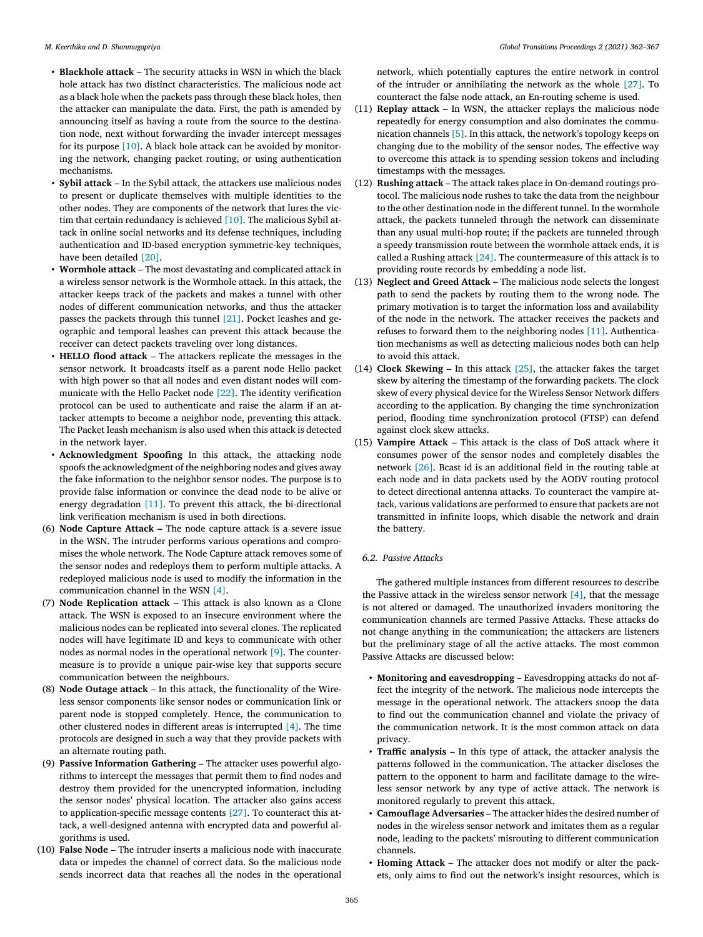- **Blackhole attack** The security attacks in WSN in which the black hole attack has two distinct characteristics. The malicious node act as a black hole when the packets pass through these black holes, then the attacker can manipulate the data. First, the path is amended by announcing itself as having a route from the source to the destination node, next without forwarding the invader intercept messages for its purpose [\[10\].](#page-5-0) A black hole attack can be avoided by monitoring the network, changing packet routing, or using authentication mechanisms.
- **Sybil attack** In the Sybil attack, the attackers use malicious nodes to present or duplicate themselves with multiple identities to the other nodes. They are components of the network that lures the victim that certain redundancy is achieved [\[10\].](#page-5-0) The malicious Sybil attack in online social networks and its defense techniques, including authentication and ID-based encryption symmetric-key techniques, have been detailed [\[20\].](#page-5-0)
- **Wormhole attack** The most devastating and complicated attack in a wireless sensor network is the Wormhole attack. In this attack, the attacker keeps track of the packets and makes a tunnel with other nodes of different communication networks, and thus the attacker passes the packets through this tunnel [\[21\].](#page-5-0) Pocket leashes and geographic and temporal leashes can prevent this attack because the receiver can detect packets traveling over long distances.
- **HELLO flood attack** The attackers replicate the messages in the sensor network. It broadcasts itself as a parent node Hello packet with high power so that all nodes and even distant nodes will communicate with the Hello Packet node [\[22\].](#page-5-0) The identity verification protocol can be used to authenticate and raise the alarm if an attacker attempts to become a neighbor node, preventing this attack. The Packet leash mechanism is also used when this attack is detected in the network layer.
- **Acknowledgment Spoofing** In this attack, the attacking node spoofs the acknowledgment of the neighboring nodes and gives away the fake information to the neighbor sensor nodes. The purpose is to provide false information or convince the dead node to be alive or energy degradation [\[11\].](#page-5-0) To prevent this attack, the bi-directional link verification mechanism is used in both directions.
- (6) **Node Capture Attack –** The node capture attack is a severe issue in the WSN. The intruder performs various operations and compromises the whole network. The Node Capture attack removes some of the sensor nodes and redeploys them to perform multiple attacks. A redeployed malicious node is used to modify the information in the communication channel in the WSN [\[4\].](#page-5-0)
- (7) **Node Replication attack** This attack is also known as a Clone attack. The WSN is exposed to an insecure environment where the malicious nodes can be replicated into several clones. The replicated nodes will have legitimate ID and keys to communicate with other nodes as normal nodes in the operational network [\[9\].](#page-5-0) The countermeasure is to provide a unique pair-wise key that supports secure communication between the neighbours.
- (8) **Node Outage attack** In this attack, the functionality of the Wireless sensor components like sensor nodes or communication link or parent node is stopped completely. Hence, the communication to other clustered nodes in different areas is interrupted [\[4\].](#page-5-0) The time protocols are designed in such a way that they provide packets with an alternate routing path.
- (9) **Passive Information Gathering** The attacker uses powerful algorithms to intercept the messages that permit them to find nodes and destroy them provided for the unencrypted information, including the sensor nodes' physical location. The attacker also gains access to application-specific message contents [\[27\].](#page-5-0) To counteract this attack, a well-designed antenna with encrypted data and powerful algorithms is used.
- (10) **False Node** The intruder inserts a malicious node with inaccurate data or impedes the channel of correct data. So the malicious node sends incorrect data that reaches all the nodes in the operational

network, which potentially captures the entire network in control of the intruder or annihilating the network as the whole [\[27\].](#page-5-0) To counteract the false node attack, an En-routing scheme is used.

- (11) **Replay attack** In WSN, the attacker replays the malicious node repeatedly for energy consumption and also dominates the communication channels [\[5\].](#page-5-0) In this attack, the network's topology keeps on changing due to the mobility of the sensor nodes. The effective way to overcome this attack is to spending session tokens and including timestamps with the messages.
- (12) **Rushing attack** The attack takes place in On-demand routings protocol. The malicious node rushes to take the data from the neighbour to the other destination node in the different tunnel. In the wormhole attack, the packets tunneled through the network can disseminate than any usual multi-hop route; if the packets are tunneled through a speedy transmission route between the wormhole attack ends, it is called a Rushing attack  $[24]$ . The countermeasure of this attack is to providing route records by embedding a node list.
- (13) **Neglect and Greed Attack –** The malicious node selects the longest path to send the packets by routing them to the wrong node. The primary motivation is to target the information loss and availability of the node in the network. The attacker receives the packets and refuses to forward them to the neighboring nodes [\[11\].](#page-5-0) Authentication mechanisms as well as detecting malicious nodes both can help to avoid this attack.
- (14) **Clock Skewing** In this attack  $\lceil 25 \rceil$ , the attacker fakes the target skew by altering the timestamp of the forwarding packets. The clock skew of every physical device for the Wireless Sensor Network differs according to the application. By changing the time synchronization period, flooding time synchronization protocol (FTSP) can defend against clock skew attacks.
- (15) **Vampire Attack** This attack is the class of DoS attack where it consumes power of the sensor nodes and completely disables the network [\[26\].](#page-5-0) Bcast id is an additional field in the routing table at each node and in data packets used by the AODV routing protocol to detect directional antenna attacks. To counteract the vampire attack, various validations are performed to ensure that packets are not transmitted in infinite loops, which disable the network and drain the battery.

# *6.2. Passive Attacks*

The gathered multiple instances from different resources to describe the Passive attack in the wireless sensor network  $[4]$ , that the message is not altered or damaged. The unauthorized invaders monitoring the communication channels are termed Passive Attacks. These attacks do not change anything in the communication; the attackers are listeners but the preliminary stage of all the active attacks. The most common Passive Attacks are discussed below:

- **Monitoring and eavesdropping** Eavesdropping attacks do not affect the integrity of the network. The malicious node intercepts the message in the operational network. The attackers snoop the data to find out the communication channel and violate the privacy of the communication network. It is the most common attack on data privacy.
- **Traffic analysis** In this type of attack, the attacker analysis the patterns followed in the communication. The attacker discloses the pattern to the opponent to harm and facilitate damage to the wireless sensor network by any type of active attack. The network is monitored regularly to prevent this attack.
- **Camouflage Adversaries** The attacker hides the desired number of nodes in the wireless sensor network and imitates them as a regular node, leading to the packets' misrouting to different communication channels.
- **Homing Attack** The attacker does not modify or alter the packets, only aims to find out the network's insight resources, which is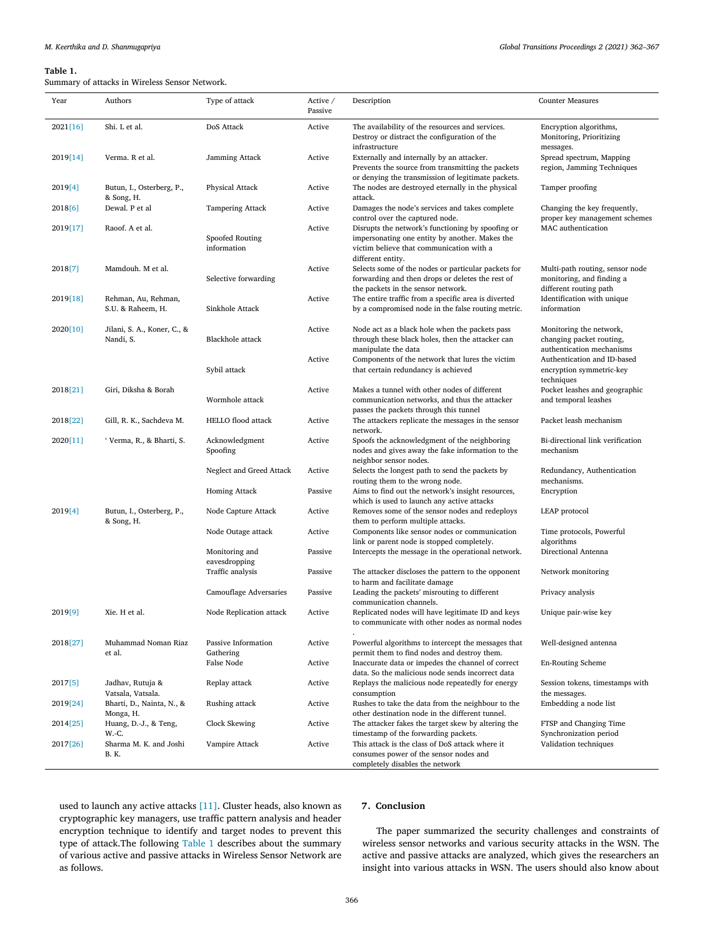# **Table 1.**

nary of attacks in Wireless Sensor Network

| Year     | Authors                                  | Type of attack                   | Active /<br>Passive | Description                                                                                                                                                          | <b>Counter Measures</b>                                                                |
|----------|------------------------------------------|----------------------------------|---------------------|----------------------------------------------------------------------------------------------------------------------------------------------------------------------|----------------------------------------------------------------------------------------|
| 2021[16] | Shi. L et al.                            | DoS Attack                       | Active              | The availability of the resources and services.<br>Destroy or distract the configuration of the<br>infrastructure                                                    | Encryption algorithms,<br>Monitoring, Prioritizing<br>messages.                        |
| 2019[14] | Verma. R et al.                          | Jamming Attack                   | Active              | Externally and internally by an attacker.<br>Prevents the source from transmitting the packets<br>or denying the transmission of legitimate packets.                 | Spread spectrum, Mapping<br>region, Jamming Techniques                                 |
| 2019[4]  | Butun, I., Osterberg, P.,<br>& Song, H.  | <b>Physical Attack</b>           | Active              | The nodes are destroyed eternally in the physical<br>attack.                                                                                                         | Tamper proofing                                                                        |
| 2018[6]  | Dewal. P et al                           | <b>Tampering Attack</b>          | Active              | Damages the node's services and takes complete<br>control over the captured node.                                                                                    | Changing the key frequently,<br>proper key management schemes                          |
| 2019[17] | Raoof. A et al.                          | Spoofed Routing<br>information   | Active              | Disrupts the network's functioning by spoofing or<br>impersonating one entity by another. Makes the<br>victim believe that communication with a<br>different entity. | MAC authentication                                                                     |
| 2018[7]  | Mamdouh. M et al.                        | Selective forwarding             | Active              | Selects some of the nodes or particular packets for<br>forwarding and then drops or deletes the rest of<br>the packets in the sensor network.                        | Multi-path routing, sensor node<br>monitoring, and finding a<br>different routing path |
| 2019[18] | Rehman, Au, Rehman,<br>S.U. & Raheem, H. | Sinkhole Attack                  | Active              | The entire traffic from a specific area is diverted<br>by a compromised node in the false routing metric.                                                            | Identification with unique<br>information                                              |
| 2020[10] | Jilani, S. A., Koner, C., &<br>Nandi, S. | <b>Blackhole</b> attack          | Active              | Node act as a black hole when the packets pass<br>through these black holes, then the attacker can<br>manipulate the data                                            | Monitoring the network,<br>changing packet routing,<br>authentication mechanisms       |
|          |                                          | Sybil attack                     | Active              | Components of the network that lures the victim<br>that certain redundancy is achieved                                                                               | Authentication and ID-based<br>encryption symmetric-key<br>techniques                  |
| 2018[21] | Giri, Diksha & Borah                     | Wormhole attack                  | Active              | Makes a tunnel with other nodes of different<br>communication networks, and thus the attacker<br>passes the packets through this tunnel                              | Pocket leashes and geographic<br>and temporal leashes                                  |
| 2018[22] | Gill, R. K., Sachdeva M.                 | <b>HELLO</b> flood attack        | Active              | The attackers replicate the messages in the sensor<br>network.                                                                                                       | Packet leash mechanism                                                                 |
| 2020[11] | 'Verma, R., & Bharti, S.                 | Acknowledgment<br>Spoofing       | Active              | Spoofs the acknowledgment of the neighboring<br>nodes and gives away the fake information to the<br>neighbor sensor nodes.                                           | Bi-directional link verification<br>mechanism                                          |
|          |                                          | Neglect and Greed Attack         | Active              | Selects the longest path to send the packets by<br>routing them to the wrong node.                                                                                   | Redundancy, Authentication<br>mechanisms.                                              |
|          |                                          | <b>Homing Attack</b>             | Passive             | Aims to find out the network's insight resources,<br>which is used to launch any active attacks                                                                      | Encryption                                                                             |
| 2019[4]  | Butun, I., Osterberg, P.,<br>& Song, H.  | Node Capture Attack              | Active              | Removes some of the sensor nodes and redeploys<br>them to perform multiple attacks.                                                                                  | LEAP protocol                                                                          |
|          |                                          | Node Outage attack               | Active              | Components like sensor nodes or communication<br>link or parent node is stopped completely.                                                                          | Time protocols, Powerful<br>algorithms                                                 |
|          |                                          | Monitoring and<br>eavesdropping  | Passive             | Intercepts the message in the operational network.                                                                                                                   | Directional Antenna                                                                    |
|          |                                          | Traffic analysis                 | Passive             | The attacker discloses the pattern to the opponent<br>to harm and facilitate damage                                                                                  | Network monitoring                                                                     |
|          |                                          | Camouflage Adversaries           | Passive             | Leading the packets' misrouting to different<br>communication channels.                                                                                              | Privacy analysis                                                                       |
| 2019[9]  | Xie. H et al.                            | Node Replication attack          | Active              | Replicated nodes will have legitimate ID and keys<br>to communicate with other nodes as normal nodes                                                                 | Unique pair-wise key                                                                   |
| 2018[27] | Muhammad Noman Riaz<br>et al.            | Passive Information<br>Gathering | Active              | Powerful algorithms to intercept the messages that<br>permit them to find nodes and destroy them.                                                                    | Well-designed antenna                                                                  |
|          |                                          | False Node                       | Active              | Inaccurate data or impedes the channel of correct<br>data. So the malicious node sends incorrect data                                                                | <b>En-Routing Scheme</b>                                                               |
| 2017[5]  | Jadhav, Rutuja &<br>Vatsala, Vatsala.    | Replay attack                    | Active              | Replays the malicious node repeatedly for energy<br>consumption                                                                                                      | Session tokens, timestamps with<br>the messages.                                       |
| 2019[24] | Bharti, D., Nainta, N., &<br>Monga, H.   | Rushing attack                   | Active              | Rushes to take the data from the neighbour to the<br>other destination node in the different tunnel.                                                                 | Embedding a node list                                                                  |
| 2014[25] | Huang, D.-J., & Teng,<br>W.-C.           | Clock Skewing                    | Active              | The attacker fakes the target skew by altering the<br>timestamp of the forwarding packets.                                                                           | FTSP and Changing Time<br>Synchronization period                                       |
| 2017[26] | Sharma M. K. and Joshi<br><b>B.</b> K.   | Vampire Attack                   | Active              | This attack is the class of DoS attack where it<br>consumes power of the sensor nodes and<br>completely disables the network                                         | Validation techniques                                                                  |

used to launch any active attacks [\[11\].](#page-5-0) Cluster heads, also known as cryptographic key managers, use traffic pattern analysis and header encryption technique to identify and target nodes to prevent this type of attack.The following Table 1 describes about the summary of various active and passive attacks in Wireless Sensor Network are as follows.

# **7. Conclusion**

The paper summarized the security challenges and constraints of wireless sensor networks and various security attacks in the WSN. The active and passive attacks are analyzed, which gives the researchers an insight into various attacks in WSN. The users should also know about